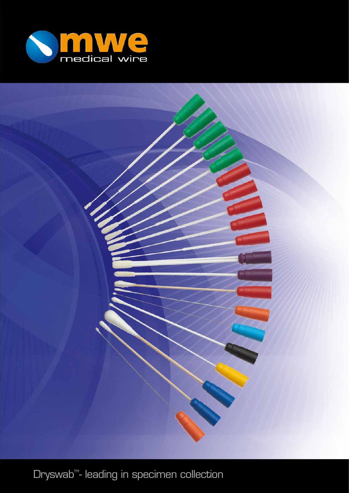

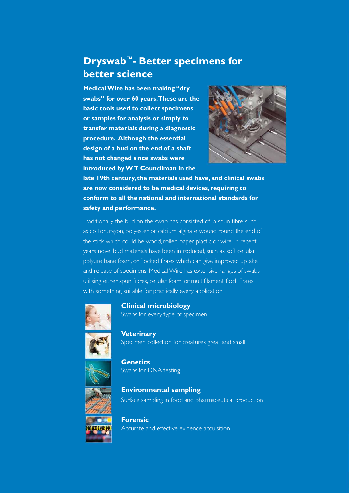# **Dryswab™- Better specimens for better science**

**Medical Wire has been making "dry swabs" for over 60 years. These are the basic tools used to collect specimens or samples for analysis or simply to transfer materials during a diagnostic procedure. Although the essential design of a bud on the end of a shaft has not changed since swabs were introduced by W T Councilman in the** 



**late 19th century, the materials used have, and clinical swabs are now considered to be medical devices, requiring to conform to all the national and international standards for safety and performance.**

Traditionally the bud on the swab has consisted of a spun fibre such as cotton, rayon, polyester or calcium alginate wound round the end of the stick which could be wood, rolled paper, plastic or wire. In recent years novel bud materials have been introduced, such as soft cellular polyurethane foam, or flocked fibres which can give improved uptake and release of specimens. Medical Wire has extensive ranges of swabs utilising either spun fibres, cellular foam, or multifilament flock fibres, with something suitable for practically every application.



**Clinical microbiology** Swabs for every type of specimen

**Veterinary** Specimen collection for creatures great and small



**Genetics** Swabs for DNA testing



**Environmental sampling** Surface sampling in food and pharmaceutical production

**Forensic**

Accurate and effective evidence acquisition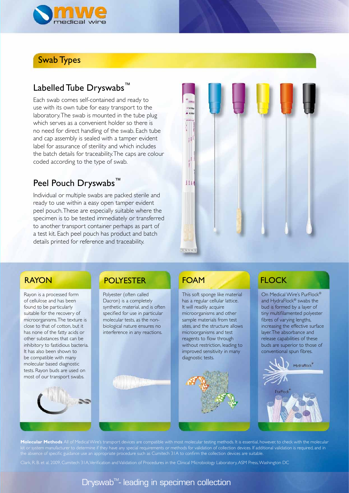

### Swab Types

### Labelled Tube Dryswabs™

Each swab comes self-contained and ready to use with its own tube for easy transport to the laboratory. The swab is mounted in the tube plug which serves as a convenient holder so there is no need for direct handling of the swab. Each tube and cap assembly is sealed with a tamper evident label for assurance of sterility and which includes the batch details for traceability. The caps are colour coded according to the type of swab.

## Peel Pouch Dryswabs<sup>™</sup>

Individual or multiple swabs are packed sterile and ready to use within a easy open tamper evident peel pouch. These are especially suitable where the specimen is to be tested immediately or transferred to another transport container perhaps as part of a test kit. Each peel pouch has product and batch details printed for reference and traceability.



Rayon is a processed form of cellulose and has been found to be particularly suitable for the recovery of microorganisms. The texture is close to that of cotton, but it has none of the fatty acids or other substances that can be inhibitory to fastidious bacteria. It has also been shown to be compatible with many molecular based diagnostic tests. Rayon buds are used on most of our transport swabs.



## RAYON POLYESTER FOAM FLOCK

Polyester (often called Dacron) is a completely synthetic material, and is often specified for use in particular molecular tests, as the nonbiological nature ensures no interference in any reactions.

This soft sponge like material has a regular cellular lattice. It will readily acquire microorganisms and other sample materials from test sites, and the structure allows microorganisms and test reagents to flow through without restriction, leading to improved sensitivity in many diagnostic tests.



On Medical Wire's PurFlock® and HydraFlock<sup>®</sup> swabs the bud is formed by a layer of tiny multifilamented polyester fibres of varying lengths, increasing the effective surface layer. The absorbance and release capabilities of these buds are superior to those of conventional spun fibres.



**Molecular Methods** All of Medical Wire's transport devices are compatible with most molecular testing methods. It is essential, however, to check with the molecular kit or system manufacturer to determine if they have any special requirements or methods for validation of collection devices. If additional validation is required, and in the absence of specific guidance use an appropriate procedure such as Cumitech 31A to confirm the collection devices are suitable.

Clark, R. B. et al, 2009, Cumitech 31A, Verification and Validation of Procedures in the Clinical Microbiology Laboratory, ASM Press, Washington DC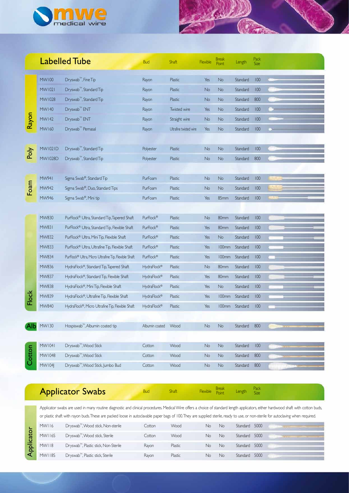

|        |                | <b>Labelled Tube</b>                                 | <b>Bud</b>     | <b>Shaft</b>           | Flexible  | Break<br>Point | Length   | Pack<br><b>Size</b> |  |
|--------|----------------|------------------------------------------------------|----------------|------------------------|-----------|----------------|----------|---------------------|--|
|        | <b>MW100</b>   | Dryswab <sup>™</sup> , Fine Tip                      | Rayon          | Plastic                | Yes       | No             | Standard | 100                 |  |
|        | MW1021         | Dryswab <sup>™</sup> , Standard Tip                  | Rayon          | Plastic                | No        | No             | Standard | 100                 |  |
|        | MW1028         | Dryswab <sup>™</sup> , Standard Tip                  | Rayon          | Plastic                | <b>No</b> | No             | Standard | 800                 |  |
|        | <b>MW140</b>   | Dryswab <sup>™</sup> ENT                             | Rayon          | <b>Twisted wire</b>    | Yes       | <b>No</b>      | Standard | 100                 |  |
| Rayon  | <b>MW142</b>   | Dryswab <sup>™</sup> ENT                             | Rayon          | Straight wire          | No        | <b>No</b>      | Standard | 100                 |  |
|        | <b>MW160</b>   | Dryswab <sup>™</sup> Pernasal                        | Rayon          | Ultrafine twisted wire | Yes       | No             | Standard | 100                 |  |
|        |                |                                                      |                |                        |           |                |          |                     |  |
| Poly   | <b>MW1021D</b> | Dryswab <sup>™</sup> , Standard Tip                  | Polyester      | Plastic                | <b>No</b> | No             | Standard | 100                 |  |
|        | <b>MW1028D</b> | Dryswab <sup>™</sup> , Standard Tip                  | Polyester      | Plastic                | <b>No</b> | No             | Standard | 800                 |  |
|        |                |                                                      |                |                        |           |                |          |                     |  |
|        | MW941          | Sigma Swab <sup>®</sup> , Standard Tip               | PurFoam        | Plastic                | No        | No             | Standard | 100                 |  |
| Foam   | MW942          | Sigma Swab®, Duo, Standard Tips                      | PurFoam        | Plastic                | No.       | <b>No</b>      | Standard | 100                 |  |
|        | MW946          | Sigma Swab®, Mini tip                                | PurFoam        | Plastic                | Yes       | 85mm           | Standard | 100                 |  |
|        |                |                                                      |                |                        |           |                |          |                     |  |
|        | MW830          | PurFlock® Ultra, Standard Tip, Tapered Shaft         | PurFlock®      | Plastic                | No        | 80mm           | Standard | 100                 |  |
|        | <b>MW831</b>   | PurFlock® Ultra, Standard Tip, Flexible Shaft        | PurFlock®      | Plastic                | Yes       | 80mm           | Standard | 100                 |  |
|        | MW832          | PurFlock® Ultra, Mini Tip, Flexible Shaft            | PurFlock®      | Plastic                | Yes       | No             | Standard | 100                 |  |
|        | MW833          | PurFlock® Ultra, Ultrafine Tip, Flexible Shaft       | PurFlock®      | Plastic                | Yes       | 100mm          | Standard | 100                 |  |
|        | MW834          | PurFlock® Ultra, Micro Ultrafine Tip, Flexible Shaft | PurFlock®      | Plastic                | Yes       | 100mm          | Standard | 100                 |  |
|        | MW836          | HydraFlock®, Standard Tip, Tapered Shaft             | HydraFlock®    | Plastic                | No.       | 80mm           | Standard | 100                 |  |
|        | <b>MW837</b>   | HydraFlock®, Standard Tip, Flexible Shaft            | HydraFlock®    | Plastic                | Yes       | 80mm           | Standard | 100                 |  |
|        | MW838          | HydraFlock®, Mini Tip, Flexible Shaft                | HydraFlock®    | Plastic                | Yes       | No             | Standard | 100                 |  |
| Flock  | MW839          | HydraFlock®, Ultrafine Tip, Flexible Shaft           | HydraFlock®    | Plastic                | Yes       | 100mm          | Standard | 100                 |  |
|        | MW840          | HydraFlock®, Micro Ultrafine Tip, Flexible Shaft     | HydraFlock®    | Plastic                | Yes       | 100mm          | Standard | 100                 |  |
|        |                |                                                      |                |                        |           |                |          |                     |  |
|        | MW130          | Hospiswab <sup>™</sup> , Albumin coated tip          | Albumin coated | Wood                   | No        | No             | Standard | 800                 |  |
|        |                |                                                      |                |                        |           |                |          |                     |  |
|        | MW1041         | Dryswab <sup>™</sup> , Wood Stick                    | Cotton         | Wood                   | No        | $\mathsf{No}$  | Standard | 100                 |  |
| Cotton | MW1048         | Dryswab <sup>™</sup> , Wood Stick                    | Cotton         | Wood                   | No.       | No             | Standard | 800                 |  |
|        | MW104J         | Dryswab <sup>™</sup> , Wood Stick, Jumbo Bud         | Cotton         | Wood                   | No        | No             | Standard | 800                 |  |
|        |                |                                                      |                |                        |           |                |          |                     |  |

Jour

# Applicator Swabs

**Bud** Shaft Flexible Break Length Pack<br>Flow Size **Point** Ducing Strate Size Contract Size Size

Applicator swabs are used in many routine diagnostic and clinical procedures. Medical Wire offers a choice of standard length applicators, either hardwood shaft with cotton buds, or plastic shaft with rayon buds. These are packed loose in autoclavable paper bags of 100. They are supplied sterile, ready to use, or non-sterile for autoclaving when required.

| <b>MWI16</b>  | Dryswab <sup>™</sup> , Wood stick, Non-sterile    | Cotton | Wood    | No | No. | Standard 5000 |  |
|---------------|---------------------------------------------------|--------|---------|----|-----|---------------|--|
| MWI16S        | Dryswab <sup>™</sup> , Wood stick, Sterile        | Cotton | Wood    | No | No. | Standard 5000 |  |
| <b>MWI18</b>  | Dryswab <sup>™</sup> , Plastic stick, Non-Sterile | Rayon  | Plastic | Nο | No. | Standard 5000 |  |
| <b>MWI18S</b> | Dryswab <sup>™</sup> , Plastic stick, Sterile     | Ravon  | Plastic | Nο | Nο  | Standard 5000 |  |

Applicator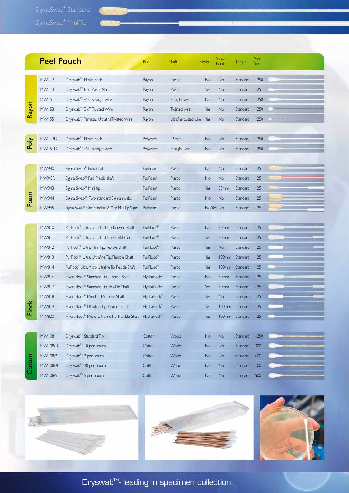SigmaSwab® Standard

|                | <b>Peel Pouch</b> |                                                              | <b>Bud</b>  | <b>Shaft</b>           | Flexible  | Break<br><b>Point</b> | Length         | Pack<br>Size |  |
|----------------|-------------------|--------------------------------------------------------------|-------------|------------------------|-----------|-----------------------|----------------|--------------|--|
|                | <b>MWI12</b>      | Dryswab <sup>™</sup> , Plastic Stick                         | Rayon       | Plastic                | No        | No                    | Standard       | 1250         |  |
|                | <b>MWI13</b>      | Dryswab <sup>™</sup> , Fine Plastic Stick                    | Rayon       | Plastic                | Yes       | No                    | Standard       | 125          |  |
|                | <b>MW151</b>      | Dryswab <sup>™</sup> ENT straight wire                       | Rayon       | Straight wire          | No        | No                    | Standard       | 1250         |  |
| Rayon          | MW153             | Dryswab <sup>™</sup> ENT Twisted Wire                        | Rayon       | Twisted wire           | Yes       | No                    | Standard       | 1250         |  |
|                | MW155             | Dryswab <sup>™</sup> Pernasal, UltrafineTwisted Wire         | Rayon       | Ultrafine twisted wire | Yes       | No                    | Standard       | 1250         |  |
|                |                   |                                                              |             |                        |           |                       |                |              |  |
|                | <b>MWII2D</b>     | Dryswab <sup>™</sup> , Plastic Stick                         | Polyester   | Plastic                | No        | No                    | Standard       | 1250         |  |
| Poly           | MW15ID            | Dryswab <sup>™</sup> ENT straight wire                       | Polyester   | Straight wire          | No        | No                    | Standard       | 1250         |  |
|                |                   |                                                              |             |                        |           |                       |                |              |  |
|                | MW940             | Sigma Swab®, Individual                                      | PurFoam     | <b>Plastic</b>         | No        | No                    | Standard       | 125          |  |
|                | <b>MW940R</b>     | Sigma Swab®, Red Plastic shaft                               | PurFoam     | Plastic                | No        | No                    | Standard       | 125          |  |
|                | MW943             | Sigma Swab®, Mini tip                                        | PurFoam     | Plastic                | Yes       | 85mm                  | Standard       | 125          |  |
| Foam           | MW944             | Sigma Swab®, Two standard Sigma swabs                        | PurFoam     | Plastic                | No        | No                    | Standard       | 125          |  |
|                | MW945             | Sigma Swab®, One Standard & One Mini Tip Sigma               | PurFoam     | Plastic                | No/Yes No |                       | Standard       | 125          |  |
|                |                   |                                                              |             |                        |           |                       |                |              |  |
|                | MW810             | PurFlock® Ultra, Standard Tip, Tapered Shaft                 | PurFlock®   | Plastic                | No        | 80mm                  | Standard       | 125          |  |
|                | <b>MW811</b>      | PurFlock® Ultra, Standard Tip, Flexible Shaft                | PurFlock®   | Plastic                | Yes       | 80mm                  | Standard       | 125          |  |
|                | MW812             | PurFlock® Ultra, Mini Tip, Flexible Shaft                    | PurFlock®   | Plastic                | Yes       | No                    | Standard       | 125          |  |
|                | MW813             | PurFlock® Ultra, Ultrafine Tip, Flexible Shaft               | PurFlock®   | Plastic                | Yes       | <b>100mm</b>          | Standard       | 125          |  |
|                | MW814             | PurFlock® Ultra, Micro Ultrafine Tip, Flexible Shaft         | PurFlock®   | Plastic                | Yes       | <b>100mm</b>          | Standard       | 125          |  |
|                | MW816             | HydraFlock®, Standard Tip, Tapered Shaft                     | HydraFlock® | Plastic                | No        | 80mm                  | Standard       | 125          |  |
|                | MW817             | HydraFlock®, Standard Tip, Flexible Shaft                    | HydraFlock® | Plastic                | Yes       | 80mm                  | Standard       | 125          |  |
|                | MW818             | HydraFlock®, Mini Tip, Moulded Shaft                         | HydraFlock® | Plastic                | Yes       | No                    | Standard       | 125          |  |
| $\frac{8}{10}$ | MW819             | HydraFlock®, Ultrafine Tip, Flexible Shaft                   | HydraFlock® | Plastic                | Yes       | 100mm                 | Standard       | 125          |  |
| щ              | MW820             | HydraFlock®, Micro Ultrafine Tip, Flexible Shaft HydraFlock® |             | Plastic                | Yes       |                       | 100mm Standard | 125          |  |
|                |                   |                                                              |             |                        |           |                       |                |              |  |
|                | MW108             | Dryswab <sup>™</sup> , Standard Tip                          | Cotton      | Wood                   | No        | No                    | Standard       | 1250         |  |
|                | MW108/10          | Dryswab <sup>™</sup> , 10 per pouch                          | Cotton      | Wood                   | No        | No                    | Standard       | 300          |  |
|                | MW108/2           | Dryswab <sup>™</sup> , 2 per pouch                           | Cotton      | Wood                   | No        | No                    | Standard       | 600          |  |
| Cotton         | MW108/20          | Dryswab <sup>™</sup> , 20 per pouch                          | Cotton      | Wood                   | No        | No                    | Standard       | 100          |  |
|                | MW108/5           | Dryswab <sup>™</sup> , 5 per pouch                           | Cotton      | Wood                   | No        | <b>No</b>             | Standard       | 500          |  |





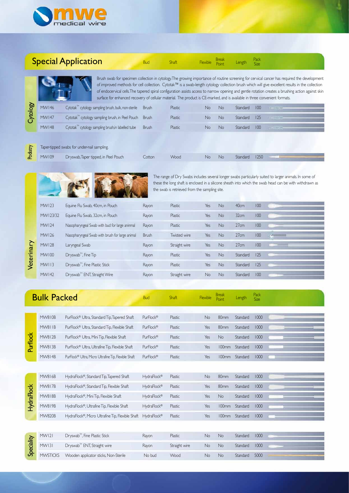

|            |                                                                                                                                                                                                                                                                    | <b>Special Application</b>                                                                                                  | <b>Bud</b>   | Shaft         | Flexible |                | Length   | Pack<br>Size |                                                                                                                                                                                                                                                                                                                                                                                                                                                         |  |  |
|------------|--------------------------------------------------------------------------------------------------------------------------------------------------------------------------------------------------------------------------------------------------------------------|-----------------------------------------------------------------------------------------------------------------------------|--------------|---------------|----------|----------------|----------|--------------|---------------------------------------------------------------------------------------------------------------------------------------------------------------------------------------------------------------------------------------------------------------------------------------------------------------------------------------------------------------------------------------------------------------------------------------------------------|--|--|
|            |                                                                                                                                                                                                                                                                    | surface for enhanced recovery of cellular material. The product is CE-marked, and is available in three convenient formats. |              |               |          |                |          |              | Brush swab for specimen collection in cytology. The growing importance of routine screening for cervical cancer has required the development<br>of improved methods for cell collection. Cytotak™ is a swab-length cytology collection brush which will give excellent results in the collection<br>of endocervical cells. The tapered spiral configuration assists access to narrow opening and gentle rotation creates a brushing action against skin |  |  |
|            | <b>MW146</b>                                                                                                                                                                                                                                                       | Cytotak <sup>™</sup> cytology sampling brush, bulk, non-sterile                                                             | <b>Brush</b> | Plastic       | No       | <b>No</b>      | Standard | 100          |                                                                                                                                                                                                                                                                                                                                                                                                                                                         |  |  |
| Cytology   | <b>MW147</b>                                                                                                                                                                                                                                                       | Cytotak <sup>™</sup> cytology sampling brush, in Peel Pouch                                                                 | Brush        | Plastic       | No       | No.            | Standard | 125          |                                                                                                                                                                                                                                                                                                                                                                                                                                                         |  |  |
|            | <b>MW148</b>                                                                                                                                                                                                                                                       | Cytotak <sup>IM</sup> cytology sampling brush, in labelled tube                                                             | <b>Brush</b> | Plastic       | No       | No.            | Standard | 100          |                                                                                                                                                                                                                                                                                                                                                                                                                                                         |  |  |
|            |                                                                                                                                                                                                                                                                    | Taper-tipped swabs for under-nail sampling.                                                                                 |              |               |          |                |          |              |                                                                                                                                                                                                                                                                                                                                                                                                                                                         |  |  |
| Podiatry   | MW109                                                                                                                                                                                                                                                              | Dryswab, Taper tipped, in Peel Pouch                                                                                        | Cotton       | Wood          | No       | No             | Standard | 1250         |                                                                                                                                                                                                                                                                                                                                                                                                                                                         |  |  |
|            | The range of Dry Swabs includes several longer swabs particularly suited to larger animals. In some of<br>these the long shaft is enclosed in a silicone sheath into which the swab head can be with withdrawn as<br>the swab is retrieved from the sampling site. |                                                                                                                             |              |               |          |                |          |              |                                                                                                                                                                                                                                                                                                                                                                                                                                                         |  |  |
|            | <b>MW123</b>                                                                                                                                                                                                                                                       | Equine Flu Swab, 40cm, in Pouch                                                                                             | Rayon        | Plastic       | Yes      | <b>No</b>      | 40cm     | 100          |                                                                                                                                                                                                                                                                                                                                                                                                                                                         |  |  |
|            | MW123/32                                                                                                                                                                                                                                                           | Equine Flu Swab, 32cm, in Pouch                                                                                             | Rayon        | Plastic       | Yes      | No.            | 32cm     | 100          |                                                                                                                                                                                                                                                                                                                                                                                                                                                         |  |  |
|            | <b>MW124</b>                                                                                                                                                                                                                                                       | Nasopharyngeal Swab with bud for large aninmal                                                                              | Rayon        | Plastic       | Yes      | No             | 27cm     | 100          |                                                                                                                                                                                                                                                                                                                                                                                                                                                         |  |  |
|            | <b>MW126</b>                                                                                                                                                                                                                                                       | Nasopharyngeal Swab with brush for large animal                                                                             | Brush        | Twisted wire  | Yes      | No.            | 27cm     | 100          |                                                                                                                                                                                                                                                                                                                                                                                                                                                         |  |  |
| Veterinary | <b>MWI28</b>                                                                                                                                                                                                                                                       | Laryngeal Swab                                                                                                              | Rayon        | Straight wire | Yes      | No             | 27cm     | 100          |                                                                                                                                                                                                                                                                                                                                                                                                                                                         |  |  |
|            | <b>MW100</b>                                                                                                                                                                                                                                                       | Dryswab <sup>™</sup> , Fine Tip                                                                                             | Rayon        | Plastic       | Yes      | No.            | Standard | 125          |                                                                                                                                                                                                                                                                                                                                                                                                                                                         |  |  |
|            | MWI13                                                                                                                                                                                                                                                              | Dryswab <sup>™</sup> , Fine Plastic Stick                                                                                   | Rayon        | Plastic       | Yes      | No.            | Standard | 125          |                                                                                                                                                                                                                                                                                                                                                                                                                                                         |  |  |
|            | MW142                                                                                                                                                                                                                                                              | Dryswab <sup>™</sup> ENT, Straight Wire                                                                                     | Rayon        | Straight wire | No       | No.            | Standard | 100          |                                                                                                                                                                                                                                                                                                                                                                                                                                                         |  |  |
|            |                                                                                                                                                                                                                                                                    |                                                                                                                             |              |               |          |                |          |              |                                                                                                                                                                                                                                                                                                                                                                                                                                                         |  |  |
|            | <b>Bulk Packed</b>                                                                                                                                                                                                                                                 |                                                                                                                             | <b>Bud</b>   | Shaft         | Flexible | Break<br>Point | Length   | Pack<br>Size |                                                                                                                                                                                                                                                                                                                                                                                                                                                         |  |  |
|            | MW810B                                                                                                                                                                                                                                                             | PurFlock® Ultra, Standard Tip, Tapered Shaft                                                                                | PurFlock®    | Plastic       | No       | 80mm           | Standard | 1000         |                                                                                                                                                                                                                                                                                                                                                                                                                                                         |  |  |
|            | MW811B                                                                                                                                                                                                                                                             | PurFlock® Ultra, Standard Tip, Flexible Shaft                                                                               | PurFlock®    | Plastic       | Yes      | 80mm           | Standard | 1000         |                                                                                                                                                                                                                                                                                                                                                                                                                                                         |  |  |
|            | <b>MW812B</b>                                                                                                                                                                                                                                                      | PurFlock® Ultra, Mini Tip, Flexible Shaft                                                                                   | PurFlock®    | Plastic       | Yes      | No             | Standard | 1000         |                                                                                                                                                                                                                                                                                                                                                                                                                                                         |  |  |
| Purflock   | MW813B                                                                                                                                                                                                                                                             | PurFlock® Ultra, Ultrafine Tip, Flexible Shaft                                                                              | PurFlock®    | Plastic       | Yes      | <b>100mm</b>   | Standard | 1000         |                                                                                                                                                                                                                                                                                                                                                                                                                                                         |  |  |
|            | MW814B                                                                                                                                                                                                                                                             | PurFlock® Ultra, Micro Ultrafine Tip, Flexible Shaft                                                                        | PurFlock®    | Plastic       | Yes      | <b>100mm</b>   | Standard | 1000         |                                                                                                                                                                                                                                                                                                                                                                                                                                                         |  |  |
|            |                                                                                                                                                                                                                                                                    |                                                                                                                             |              |               |          |                |          |              |                                                                                                                                                                                                                                                                                                                                                                                                                                                         |  |  |
|            | MW816B                                                                                                                                                                                                                                                             | HydraFlock®, Standard Tip, Tapered Shaft                                                                                    | HydraFlock®  | Plastic       | No       | 80mm           | Standard | 1000         |                                                                                                                                                                                                                                                                                                                                                                                                                                                         |  |  |
|            | <b>MW817B</b>                                                                                                                                                                                                                                                      | HydraFlock®, Standard Tip, Flexible Shaft                                                                                   | HydraFlock®  | Plastic       | Yes      | 80mm           | Standard | 1000         |                                                                                                                                                                                                                                                                                                                                                                                                                                                         |  |  |
|            | MW818B                                                                                                                                                                                                                                                             | HydraFlock®, Mini Tip, Flexible Shaft                                                                                       | HydraFlock®  | Plastic       | Yes      | No             | Standard | 1000         |                                                                                                                                                                                                                                                                                                                                                                                                                                                         |  |  |
| HydraFlock | MW819B                                                                                                                                                                                                                                                             | HydraFlock®, Ultrafine Tip, Flexible Shaft                                                                                  | HydraFlock®  | Plastic       | Yes      | 100mm          | Standard | 1000         |                                                                                                                                                                                                                                                                                                                                                                                                                                                         |  |  |
|            | <b>MW820B</b>                                                                                                                                                                                                                                                      | HydraFlock®, Micro Ultrafine Tip, Flexible Shaft                                                                            | HydraFlock®  | Plastic       | Yes      | 100mm          | Standard | 1000         |                                                                                                                                                                                                                                                                                                                                                                                                                                                         |  |  |
|            |                                                                                                                                                                                                                                                                    |                                                                                                                             |              |               |          |                |          |              |                                                                                                                                                                                                                                                                                                                                                                                                                                                         |  |  |
|            | MW121                                                                                                                                                                                                                                                              | Dryswab <sup>™</sup> , Fine Plastic Stick                                                                                   | Rayon        | Plastic       | No       | $\mathsf{No}$  | Standard | 1000         |                                                                                                                                                                                                                                                                                                                                                                                                                                                         |  |  |
| Speciality | MW131                                                                                                                                                                                                                                                              | Dryswab <sup>™</sup> ENT, Straight wire                                                                                     | Rayon        | Straight wire | No       | No             | Standard | 1000         |                                                                                                                                                                                                                                                                                                                                                                                                                                                         |  |  |
|            | <b>MWSTICKS</b>                                                                                                                                                                                                                                                    | Wooden applicator sticks, Non-Sterile                                                                                       | No bud       | Wood          | No       | No             | Standard | 5000         |                                                                                                                                                                                                                                                                                                                                                                                                                                                         |  |  |
|            |                                                                                                                                                                                                                                                                    |                                                                                                                             |              |               |          |                |          |              |                                                                                                                                                                                                                                                                                                                                                                                                                                                         |  |  |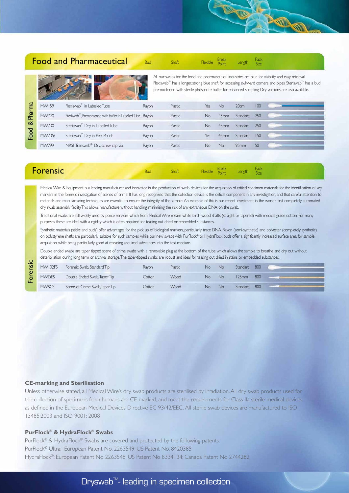## Food and Pharmaceutical

All our swabs for the food and pharmaceutical industries are blue for visibility and easy retrieval. Flexiswab<sup>™</sup> has a longer, strong blue shaft for accessing awkward corners and pipes. Steriswab<sup>™</sup> has a bud premoistened with sterile phosphate buffer for enhanced sampling. Dry versions are also available.

**Allin** 

**SUIN** 

Bud Shaft Flexible Break Length Pack<br>Bud Shaft Flexible point Length Size **Point** Size Size

| harma          | <b>MW159</b> | $F$ lexiswab <sup><math>m</math></sup> in Labelled Tube                    | Rayon | Plastic | Yes | No.              | 20cm     | 100 |  |
|----------------|--------------|----------------------------------------------------------------------------|-------|---------|-----|------------------|----------|-----|--|
|                | MW720        | Steriswab <sup>11</sup> , Premoistened with buffer, in Labelled Tube Rayon |       | Plastic | No. | 45 <sub>mm</sub> | Standard | 250 |  |
| య              | MW730        | Steriswab <sup>™</sup> Dry in Labelled Tube                                | Rayon | Plastic | No. | 45 <sub>mm</sub> | Standard | 250 |  |
| $\overline{8}$ | MW735/1      | Steriswab <sup>™</sup> Dry in Peel Pouch                                   | Rayon | Plastic | Yes | 45 <sub>mm</sub> | Standard | 150 |  |
|                | MW799        | NRSII Transwab®, Dry, screw cap vial                                       | Rayon | Plastic | Nο  | No               | 95mm     | 50  |  |

| <b>1</b> Flexible Break<br>Point Length Size<br>Shaft |
|-------------------------------------------------------|
|-------------------------------------------------------|

Medical Wire & Equipment is a leading manufacturer and innovator in the production of swab devices for the acquisition of critical specimen materials for the identification of key markers in the forensic investigation of scenes of crime. It has long recognised that the collection device is the critical component in any investigation, and that careful attention to materials and manufacturing techniques are essential to ensure the integrity of the sample. An example of this is our recent investment in the world's first completely automated dry swab assembly facility. This allows manufacture without handling, minimising the risk of any extraneous DNA on the swab.

Traditional swabs are still widely used by police services which from Medical Wire means white birch wood shafts (straight or tapered) with medical grade cotton. For many purposes these are ideal with a rigidity which is often required for teasing out dried or embedded substances.

Synthetic materials (sticks and buds) offer advantages for the pick up of biological markers, particularly trace DNA. Rayon (semi-synthetic) and polyester (completely synthetic) on polystyrene shafts are particularly suitable for such samples, while our new swabs with PurFlock® or HydraFlock buds offer a significantly increased surface area for sample acquisition, while being particularly good at releasing acquired substances into the test medium.

Double ended swabs are taper tipped scene of crime swabs with a removable plug at the bottom of the tube which allows the sample to breathe and dry out without deterioration during long term or archival storage. The taper-tipped swabs are robust and ideal for teasing out dried in stains or embedded substances.

| MW102FS      | Forensic Swab, Standard Tip    | Ravon  | Plastic | No | No | Standard | 800 |  |
|--------------|--------------------------------|--------|---------|----|----|----------|-----|--|
| <b>MWDES</b> | Double Ended Swab, Taper Tip   | Cotton | Wood    | No | No | 125mm    | 800 |  |
| <b>MWSCS</b> | Scene of Crime Swab, Taper Tip | Cotton | Wood    | No | No | Standard | 800 |  |

#### **CE-marking and Sterilisation**

Forensic

Unless otherwise stated, all Medical Wire's dry swab products are sterilised by irradiation. All dry swab products used for the collection of specimens from humans are CE-marked, and meet the requirements for Class IIa sterile medical devices as defined in the European Medical Devices Directive EC 93/42/EEC. All sterile swab devices are manufactured to ISO 13485:2003 and ISO 9001: 2008

#### **PurFlock® & HydraFlock® Swabs**

PurFlock<sup>®</sup> & HydraFlock<sup>®</sup> Swabs are covered and protected by the following patents. PurFlock® Ultra: European Patent No. 2263549; US Patent No. 8420385 HydraFlock®: European Patent No 2263548; US Patent No 8334134; Canada Patent No 2744282